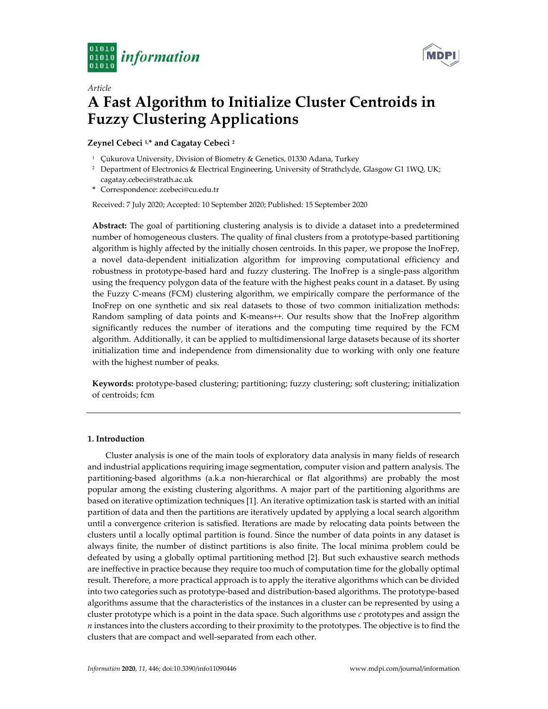



# *Article* **A Fast Algorithm to Initialize Cluster Centroids in Fuzzy Clustering Applications**

# **Zeynel Cebeci 1, \* and Cagatay Cebeci <sup>2</sup>**

- <sup>1</sup> Çukurova University, Division of Biometry & Genetics, 01330 Adana, Turkey
- <sup>2</sup> Department of Electronics & Electrical Engineering, University of Strathclyde, Glasgow G1 1WQ, UK; cagatay.cebeci@strath.ac.uk
- **\*** Correspondence: zcebeci@cu.edu.tr

Received: 7 July 2020; Accepted: 10 September 2020; Published: 15 September 2020

**Abstract:** The goal of partitioning clustering analysis is to divide a dataset into a predetermined number of homogeneous clusters. The quality of final clusters from a prototype-based partitioning algorithm is highly affected by the initially chosen centroids. In this paper, we propose the InoFrep, a novel data-dependent initialization algorithm for improving computational efficiency and robustness in prototype-based hard and fuzzy clustering. The InoFrep is a single-pass algorithm using the frequency polygon data of the feature with the highest peaks count in a dataset. By using the Fuzzy C-means (FCM) clustering algorithm, we empirically compare the performance of the InoFrep on one synthetic and six real datasets to those of two common initialization methods: Random sampling of data points and K-means++. Our results show that the InoFrep algorithm significantly reduces the number of iterations and the computing time required by the FCM algorithm. Additionally, it can be applied to multidimensional large datasets because of its shorter initialization time and independence from dimensionality due to working with only one feature with the highest number of peaks.

**Keywords:** prototype-based clustering; partitioning; fuzzy clustering; soft clustering; initialization of centroids; fcm

#### **1. Introduction**

Cluster analysis is one of the main tools of exploratory data analysis in many fields of research and industrial applications requiring image segmentation, computer vision and pattern analysis. The partitioning-based algorithms (a.k.a non-hierarchical or flat algorithms) are probably the most popular among the existing clustering algorithms. A major part of the partitioning algorithms are based on iterative optimization techniques [1]. An iterative optimization task is started with an initial partition of data and then the partitions are iteratively updated by applying a local search algorithm until a convergence criterion is satisfied. Iterations are made by relocating data points between the clusters until a locally optimal partition is found. Since the number of data points in any dataset is always finite, the number of distinct partitions is also finite. The local minima problem could be defeated by using a globally optimal partitioning method [2]. But such exhaustive search methods are ineffective in practice because they require too much of computation time for the globally optimal result. Therefore, a more practical approach is to apply the iterative algorithms which can be divided into two categories such as prototype-based and distribution-based algorithms. The prototype-based algorithms assume that the characteristics of the instances in a cluster can be represented by using a cluster prototype which is a point in the data space. Such algorithms use *c* prototypes and assign the *n* instances into the clusters according to their proximity to the prototypes. The objective is to find the clusters that are compact and well-separated from each other.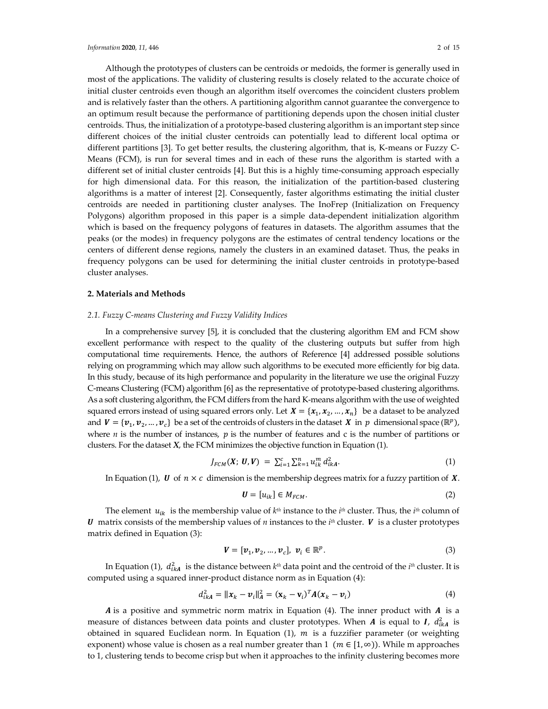Although the prototypes of clusters can be centroids or medoids, the former is generally used in most of the applications. The validity of clustering results is closely related to the accurate choice of initial cluster centroids even though an algorithm itself overcomes the coincident clusters problem and is relatively faster than the others. A partitioning algorithm cannot guarantee the convergence to an optimum result because the performance of partitioning depends upon the chosen initial cluster centroids. Thus, the initialization of a prototype-based clustering algorithm is an important step since different choices of the initial cluster centroids can potentially lead to different local optima or different partitions [3]. To get better results, the clustering algorithm, that is, K-means or Fuzzy C-Means (FCM), is run for several times and in each of these runs the algorithm is started with a different set of initial cluster centroids [4]. But this is a highly time-consuming approach especially for high dimensional data. For this reason, the initialization of the partition-based clustering algorithms is a matter of interest [2]. Consequently, faster algorithms estimating the initial cluster centroids are needed in partitioning cluster analyses. The InoFrep (Initialization on Frequency Polygons) algorithm proposed in this paper is a simple data-dependent initialization algorithm which is based on the frequency polygons of features in datasets. The algorithm assumes that the peaks (or the modes) in frequency polygons are the estimates of central tendency locations or the centers of different dense regions, namely the clusters in an examined dataset. Thus, the peaks in frequency polygons can be used for determining the initial cluster centroids in prototype-based cluster analyses.

# **2. Materials and Methods**

#### *2.1. Fuzzy C-means Clustering and Fuzzy Validity Indices*

In a comprehensive survey [5], it is concluded that the clustering algorithm EM and FCM show excellent performance with respect to the quality of the clustering outputs but suffer from high computational time requirements. Hence, the authors of Reference [4] addressed possible solutions relying on programming which may allow such algorithms to be executed more efficiently for big data. In this study, because of its high performance and popularity in the literature we use the original Fuzzy C-means Clustering (FCM) algorithm [6] as the representative of prototype-based clustering algorithms. As a soft clustering algorithm, the FCM differs from the hard K-means algorithm with the use of weighted squared errors instead of using squared errors only. Let  $X = \{x_1, x_2, ..., x_n\}$  be a dataset to be analyzed and  $V = {v_1, v_2, ..., v_c}$  be a set of the centroids of clusters in the dataset X in p dimensional space ( $\mathbb{R}^p$ ), where *n* is the number of instances,  $p$  is the number of features and c is the number of partitions or clusters. For the dataset *X*, the FCM minimizes the objective function in Equation (1).

$$
J_{FCM}(X; U, V) = \sum_{i=1}^{c} \sum_{k=1}^{n} u_{ik}^{m} d_{ikA}^{2}.
$$
 (1)

In Equation (1), **U** of  $n \times c$  dimension is the membership degrees matrix for a fuzzy partition of **X**.

$$
\boldsymbol{U} = [u_{ik}] \in M_{FCM}.\tag{2}
$$

The element  $u_{ik}$  is the membership value of  $k^{th}$  instance to the  $i^{th}$  cluster. Thus, the  $i^{th}$  column of U matrix consists of the membership values of *n* instances to the  $i<sup>th</sup>$  cluster. V is a cluster prototypes matrix defined in Equation (3):

$$
\mathbf{V} = [\mathbf{v}_1, \mathbf{v}_2, \dots, \mathbf{v}_c], \ \mathbf{v}_i \in \mathbb{R}^p. \tag{3}
$$

In Equation (1),  $d_{ikA}^2$  is the distance between  $k^{th}$  data point and the centroid of the *i<sup>th</sup>* cluster. It is computed using a squared inner-product distance norm as in Equation (4):

$$
d_{ikA}^2 = ||\mathbf{x}_k - \mathbf{v}_i||_A^2 = (\mathbf{x}_k - \mathbf{v}_i)^T A (\mathbf{x}_k - \mathbf{v}_i)
$$
(4)

 $\boldsymbol{A}$  is a positive and symmetric norm matrix in Equation (4). The inner product with  $\boldsymbol{A}$  is a measure of distances between data points and cluster prototypes. When  $A$  is equal to  $I$ ,  $d_{ikA}^2$  is obtained in squared Euclidean norm. In Equation  $(1)$ ,  $m$  is a fuzzifier parameter (or weighting exponent) whose value is chosen as a real number greater than 1 ( $m \in [1, \infty)$ ). While m approaches to 1, clustering tends to become crisp but when it approaches to the infinity clustering becomes more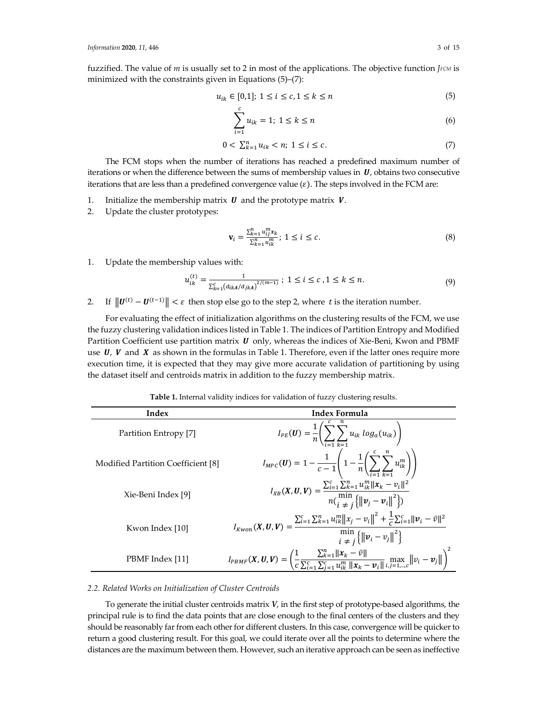fuzzified. The value of *m* is usually set to 2 in most of the applications. The objective function *JFCM* is minimized with the constraints given in Equations (5)–(7):

$$
u_{ik} \in [0,1]; \ 1 \le i \le c, 1 \le k \le n \tag{5}
$$

$$
\sum_{i=1}^{c} u_{ik} = 1; \ 1 \le k \le n \tag{6}
$$

$$
0 < \sum_{k=1}^{n} u_{ik} < n; \ 1 \le i \le c. \tag{7}
$$

The FCM stops when the number of iterations has reached a predefined maximum number of iterations or when the difference between the sums of membership values in  $U$ , obtains two consecutive iterations that are less than a predefined convergence value  $(\varepsilon)$ . The steps involved in the FCM are:

- 1. Initialize the membership matrix  $U$  and the prototype matrix  $V$ .
- 2. Update the cluster prototypes:

$$
\mathbf{v}_{i} = \frac{\sum_{k=1}^{n} u_{ij}^{m} x_{k}}{\sum_{k=1}^{n} u_{ik}^{m}}; \ 1 \leq i \leq c. \tag{8}
$$

1. Update the membership values with:

$$
u_{ik}^{(t)} = \frac{1}{\sum_{k=1}^{c} (d_{ikA}/d_{jkA})^{2/(m-1)}} \; ; \; 1 \le i \le c \; , 1 \le k \le n. \tag{9}
$$

2. If  $||U^{(t)} – U^{(t-1)}|| < \varepsilon$  then stop else go to the step 2, where t is the iteration number.

For evaluating the effect of initialization algorithms on the clustering results of the FCM, we use the fuzzy clustering validation indices listed in Table 1. The indices of Partition Entropy and Modified Partition Coefficient use partition matrix  $U$  only, whereas the indices of Xie-Beni, Kwon and PBMF use  $U, V$  and  $X$  as shown in the formulas in Table 1. Therefore, even if the latter ones require more execution time, it is expected that they may give more accurate validation of partitioning by using the dataset itself and centroids matrix in addition to the fuzzy membership matrix.

**Table 1.** Internal validity indices for validation of fuzzy clustering results.

| Index                              | Index Formula                                                                                                                                                                                                                                                                      |
|------------------------------------|------------------------------------------------------------------------------------------------------------------------------------------------------------------------------------------------------------------------------------------------------------------------------------|
| Partition Entropy [7]              | $I_{PE}(\boldsymbol{U}) = \frac{1}{n} \bigg( \sum \sum u_{ik} \log_a(u_{ik}) \bigg)$                                                                                                                                                                                               |
| Modified Partition Coefficient [8] | $I_{MPC}(\boldsymbol{U}) = 1 - \frac{1}{c-1} \left( 1 - \frac{1}{n} \left( \sum_{i=1}^{c} \sum_{k=1}^{n} u_{ik}^{m} \right) \right)$                                                                                                                                               |
| Xie-Beni Index [9]                 | $I_{XB}(\boldsymbol{X}, \boldsymbol{U}, \boldsymbol{V}) = \frac{\sum_{i=1}^{c} \sum_{k=1}^{n} u_{ik}^{m}   \boldsymbol{x}_{k} - \boldsymbol{v}_{i}  ^{2}}{n(\sum_{i=1}^{m}   \boldsymbol{v}_{j} - \boldsymbol{v}_{i}  ^{2}))}$                                                     |
| Kwon Index [10]                    | $I_{Kwon}(\pmb{X}, \pmb{U}, \pmb{V}) = \frac{\sum_{i=1}^{c}\sum_{k=1}^{n}u_{ik}^{m}\left\ \boldsymbol{x}_j - \boldsymbol{v}_i\right\ ^{2} + \frac{1}{c}\sum_{i=1}^{c}\ \pmb{v}_i - \bar{v}\ ^{2}}{\min\limits_{i} \left\{\left\ \pmb{v}_i - \boldsymbol{v}_j\right\ ^{2}\right\}}$ |
| PBMF Index [11]                    | $I_{PBMF}(X, U, V) = \left(\frac{1}{C} \frac{\sum_{k=1}^{n}   x_k - \bar{v}  }{\sum_{i=1}^{C} \sum_{j=1}^{C} u_{ij}^m   x_k - \bar{v}_j  } \max_{i,j=1,\dots,C}   v_i - v_j  \right)^2$                                                                                            |

#### *2.2. Related Works on Initialization of Cluster Centroids*

To generate the initial cluster centroids matrix *V*, in the first step of prototype-based algorithms, the principal rule is to find the data points that are close enough to the final centers of the clusters and they should be reasonably far from each other for different clusters. In this case, convergence will be quicker to return a good clustering result. For this goal, we could iterate over all the points to determine where the distances are the maximum between them. However, such an iterative approach can be seen as ineffective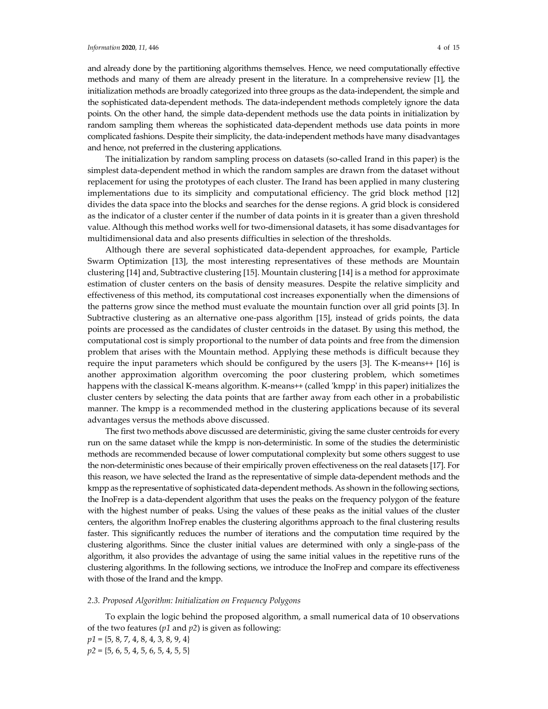and already done by the partitioning algorithms themselves. Hence, we need computationally effective methods and many of them are already present in the literature. In a comprehensive review [1], the initialization methods are broadly categorized into three groups as the data-independent, the simple and the sophisticated data-dependent methods. The data-independent methods completely ignore the data points. On the other hand, the simple data-dependent methods use the data points in initialization by random sampling them whereas the sophisticated data-dependent methods use data points in more complicated fashions. Despite their simplicity, the data-independent methods have many disadvantages and hence, not preferred in the clustering applications.

The initialization by random sampling process on datasets (so-called Irand in this paper) is the simplest data-dependent method in which the random samples are drawn from the dataset without replacement for using the prototypes of each cluster. The Irand has been applied in many clustering implementations due to its simplicity and computational efficiency. The grid block method [12] divides the data space into the blocks and searches for the dense regions. A grid block is considered as the indicator of a cluster center if the number of data points in it is greater than a given threshold value. Although this method works well for two-dimensional datasets, it has some disadvantages for multidimensional data and also presents difficulties in selection of the thresholds.

Although there are several sophisticated data-dependent approaches, for example, Particle Swarm Optimization [13], the most interesting representatives of these methods are Mountain clustering [14] and, Subtractive clustering [15]. Mountain clustering [14] is a method for approximate estimation of cluster centers on the basis of density measures. Despite the relative simplicity and effectiveness of this method, its computational cost increases exponentially when the dimensions of the patterns grow since the method must evaluate the mountain function over all grid points [3]. In Subtractive clustering as an alternative one-pass algorithm [15], instead of grids points, the data points are processed as the candidates of cluster centroids in the dataset. By using this method, the computational cost is simply proportional to the number of data points and free from the dimension problem that arises with the Mountain method. Applying these methods is difficult because they require the input parameters which should be configured by the users [3]. The K-means++ [16] is another approximation algorithm overcoming the poor clustering problem, which sometimes happens with the classical K-means algorithm. K-means++ (called 'kmpp' in this paper) initializes the cluster centers by selecting the data points that are farther away from each other in a probabilistic manner. The kmpp is a recommended method in the clustering applications because of its several advantages versus the methods above discussed.

The first two methods above discussed are deterministic, giving the same cluster centroids for every run on the same dataset while the kmpp is non-deterministic. In some of the studies the deterministic methods are recommended because of lower computational complexity but some others suggest to use the non-deterministic ones because of their empirically proven effectiveness on the real datasets [17]. For this reason, we have selected the Irand as the representative of simple data-dependent methods and the kmpp as the representative of sophisticated data-dependent methods. As shown in the following sections, the InoFrep is a data-dependent algorithm that uses the peaks on the frequency polygon of the feature with the highest number of peaks. Using the values of these peaks as the initial values of the cluster centers, the algorithm InoFrep enables the clustering algorithms approach to the final clustering results faster. This significantly reduces the number of iterations and the computation time required by the clustering algorithms. Since the cluster initial values are determined with only a single-pass of the algorithm, it also provides the advantage of using the same initial values in the repetitive runs of the clustering algorithms. In the following sections, we introduce the InoFrep and compare its effectiveness with those of the Irand and the kmpp.

#### *2.3. Proposed Algorithm: Initialization on Frequency Polygons*

To explain the logic behind the proposed algorithm, a small numerical data of 10 observations of the two features (*p1* and *p2*) is given as following:

*p1* = {5, 8, 7, 4, 8, 4, 3, 8, 9, 4} *p2* = {5, 6, 5, 4, 5, 6, 5, 4, 5, 5}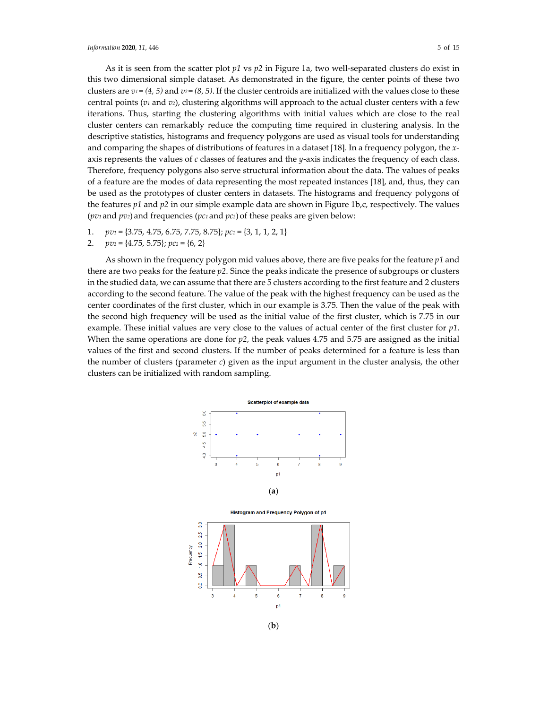As it is seen from the scatter plot *p1* vs *p2* in Figure 1a, two well-separated clusters do exist in this two dimensional simple dataset. As demonstrated in the figure, the center points of these two clusters are  $v_1 = (4, 5)$  and  $v_2 = (8, 5)$ . If the cluster centroids are initialized with the values close to these central points (*v1* and *v2*), clustering algorithms will approach to the actual cluster centers with a few iterations. Thus, starting the clustering algorithms with initial values which are close to the real cluster centers can remarkably reduce the computing time required in clustering analysis. In the descriptive statistics, histograms and frequency polygons are used as visual tools for understanding and comparing the shapes of distributions of features in a dataset [18]. In a frequency polygon, the *x*axis represents the values of *c* classes of features and the *y*-axis indicates the frequency of each class. Therefore, frequency polygons also serve structural information about the data. The values of peaks of a feature are the modes of data representing the most repeated instances [18], and, thus, they can be used as the prototypes of cluster centers in datasets. The histograms and frequency polygons of the features *p1* and *p2* in our simple example data are shown in Figure 1b,c, respectively. The values (*pv1* and *pv2*) and frequencies (*pc1* and *pc2*) of these peaks are given below:

- 1. *pv1* = {3.75, 4.75, 6.75, 7.75, 8.75}; *pc1* = {3, 1, 1, 2, 1}
- 2.  $pv_2 = \{4.75, 5.75\}; pc_2 = \{6, 2\}$

As shown in the frequency polygon mid values above, there are five peaks for the feature *p1* and there are two peaks for the feature *p2*. Since the peaks indicate the presence of subgroups or clusters in the studied data, we can assume that there are 5 clusters according to the first feature and 2 clusters according to the second feature. The value of the peak with the highest frequency can be used as the center coordinates of the first cluster, which in our example is 3.75. Then the value of the peak with the second high frequency will be used as the initial value of the first cluster, which is 7.75 in our example. These initial values are very close to the values of actual center of the first cluster for *p1*. When the same operations are done for *p2*, the peak values 4.75 and 5.75 are assigned as the initial values of the first and second clusters. If the number of peaks determined for a feature is less than the number of clusters (parameter *c*) given as the input argument in the cluster analysis, the other clusters can be initialized with random sampling.

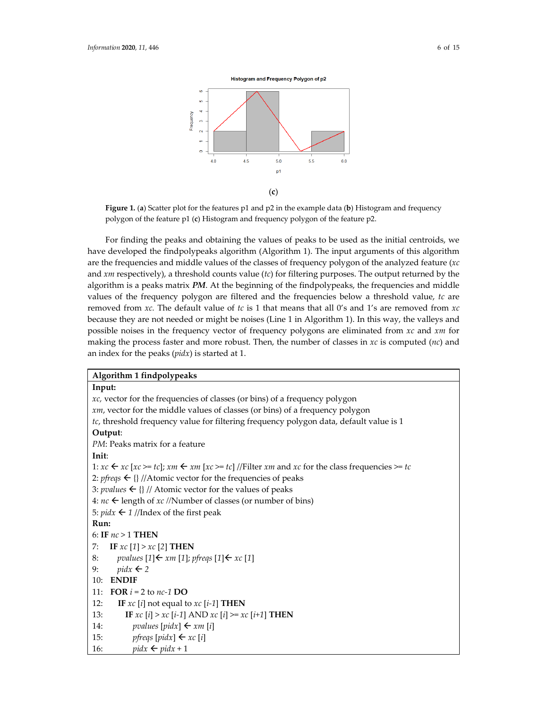

**Figure 1.** (**a**) Scatter plot for the features p1 and p2 in the example data (**b**) Histogram and frequency polygon of the feature p1 (**c**) Histogram and frequency polygon of the feature p2.

For finding the peaks and obtaining the values of peaks to be used as the initial centroids, we have developed the findpolypeaks algorithm (Algorithm 1). The input arguments of this algorithm are the frequencies and middle values of the classes of frequency polygon of the analyzed feature (*xc* and *xm* respectively), a threshold counts value (*tc*) for filtering purposes. The output returned by the algorithm is a peaks matrix PM. At the beginning of the findpolypeaks, the frequencies and middle values of the frequency polygon are filtered and the frequencies below a threshold value, *tc* are removed from *xc.* The default value of *tc* is 1 that means that all 0's and 1's are removed from *xc* because they are not needed or might be noises (Line 1 in Algorithm 1). In this way, the valleys and possible noises in the frequency vector of frequency polygons are eliminated from *xc* and *xm* for making the process faster and more robust. Then, the number of classes in *xc* is computed (*nc*) and an index for the peaks (*pidx*) is started at 1.

| Algorithm 1 findpolypeaks                                                                                                   |  |
|-----------------------------------------------------------------------------------------------------------------------------|--|
| Input:                                                                                                                      |  |
| $xc$ , vector for the frequencies of classes (or bins) of a frequency polygon                                               |  |
| $xm$ , vector for the middle values of classes (or bins) of a frequency polygon                                             |  |
| tc, threshold frequency value for filtering frequency polygon data, default value is 1                                      |  |
| Output:                                                                                                                     |  |
| <i>PM</i> : Peaks matrix for a feature                                                                                      |  |
| Init:                                                                                                                       |  |
| 1: $xc \in xc$ [ $xc >= tc$ ]; $xm \in \frac{cm}{cx}$ [ $xc >= tc$ ] //Filter $xm$ and $xc$ for the class frequencies >= to |  |
| 2: pfreqs $\leftarrow \{\}$ //Atomic vector for the frequencies of peaks                                                    |  |
| 3: pvalues $\leftarrow \{\}$ // Atomic vector for the values of peaks                                                       |  |
| 4: $nc \leftarrow$ length of $xc$ //Number of classes (or number of bins)                                                   |  |
| 5: $pidx \leftarrow 1$ //Index of the first peak                                                                            |  |
| Run:                                                                                                                        |  |
| 6: IF $nc > 1$ THEN                                                                                                         |  |
| IF $xc$ [1] > $xc$ [2] THEN<br>7:                                                                                           |  |
| 8:<br>pvalues $[1] \leftarrow$ xm $[1]$ ; pfreqs $[1] \leftarrow$ xc $[1]$                                                  |  |
| $pidx \leftarrow 2$<br>9:                                                                                                   |  |
| <b>ENDIF</b><br>10:                                                                                                         |  |
| 11:<br>FOR $i = 2$ to nc-1 DO                                                                                               |  |
| 12:<br>IF $xc[i]$ not equal to $xc[i-1]$ THEN                                                                               |  |
| 13:<br><b>IF</b> $xc[i] > xc[i-1]$ AND $xc[i] > = xc[i+1]$ <b>THEN</b>                                                      |  |
| pvalues [pidx] $\leftarrow$ xm [i]<br>14:                                                                                   |  |
| pfreqs [pidx] $\leftarrow$ xc [i]<br>15:                                                                                    |  |
| $pidx \leftarrow pidx + 1$<br>16:                                                                                           |  |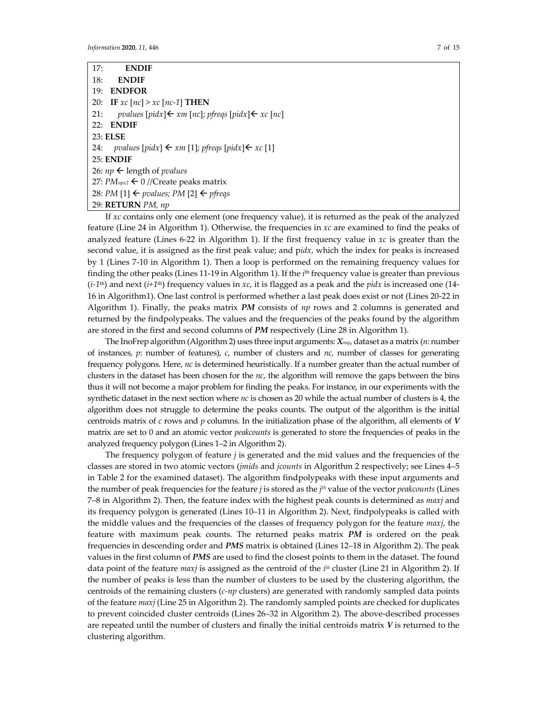| 17:<br><b>ENDIF</b>                                                            |
|--------------------------------------------------------------------------------|
| <b>ENDIF</b><br>18:                                                            |
| <b>ENDFOR</b><br>19:                                                           |
| 20: IF $xc$ [nc] > $xc$ [nc-1] THEN                                            |
| pvalues [pidx] $\leftarrow$ xm [nc]; pfreqs [pidx] $\leftarrow$ xc [nc]<br>21: |
| $22$ : ENDIF                                                                   |
| 23: ELSE                                                                       |
| pvalues [pidx] $\leftarrow$ xm [1]; pfreqs [pidx] $\leftarrow$ xc [1]<br>24:   |
| 25: FNDIF                                                                      |
| 26: $np \leftarrow$ length of <i>pvalues</i>                                   |
| 27: $PM_{npx2} \leftarrow 0$ //Create peaks matrix                             |
| 28: PM [1] $\leftarrow$ pvalues; PM [2] $\leftarrow$ pfreqs                    |
| 29: RETURN PM, np                                                              |

If *xc* contains only one element (one frequency value), it is returned as the peak of the analyzed feature (Line 24 in Algorithm 1). Otherwise, the frequencies in *xc* are examined to find the peaks of analyzed feature (Lines 6-22 in Algorithm 1). If the first frequency value in *xc* is greater than the second value, it is assigned as the first peak value; and p*idx*, which the index for peaks is increased by 1 (Lines 7-10 in Algorithm 1). Then a loop is performed on the remaining frequency values for finding the other peaks (Lines 11-19 in Algorithm 1). If the *i*th frequency value is greater than previous (*i-1*th) and next (*i+1*th) frequency values in *xc*, it is flagged as a peak and the *pidx* is increased one (14- 16 in Algorithm1). One last control is performed whether a last peak does exist or not (Lines 20-22 in Algorithm 1). Finally, the peaks matrix *PM* consists of *np* rows and 2 columns is generated and returned by the findpolypeaks. The values and the frequencies of the peaks found by the algorithm are stored in the first and second columns of *PM* respectively (Line 28 in Algorithm 1).

The InoFrep algorithm (Algorithm 2) uses three input arguments:  $X_{n,p}$ , dataset as a matrix (*n*: number of instances, *p*: number of features), *c*, number of clusters and *nc,* number of classes for generating frequency polygons. Here, *nc* is determined heuristically. If a number greater than the actual number of clusters in the dataset has been chosen for the *nc*, the algorithm will remove the gaps between the bins thus it will not become a major problem for finding the peaks. For instance, in our experiments with the synthetic dataset in the next section where *nc* is chosen as 20 while the actual number of clusters is 4, the algorithm does not struggle to determine the peaks counts. The output of the algorithm is the initial centroids matrix of *c* rows and *p* columns. In the initialization phase of the algorithm, all elements of *V* matrix are set to 0 and an atomic vector *peakcounts* is generated to store the frequencies of peaks in the analyzed frequency polygon (Lines 1–2 in Algorithm 2).

The frequency polygon of feature *j* is generated and the mid values and the frequencies of the classes are stored in two atomic vectors (*jmids* and *jcounts* in Algorithm 2 respectively; see Lines 4–5 in Table 2 for the examined dataset). The algorithm findpolypeaks with these input arguments and the number of peak frequencies for the feature *j* is stored as the *jth* value of the vector *peakcounts* (Lines 7–8 in Algorithm 2). Then, the feature index with the highest peak counts is determined as *maxj* and its frequency polygon is generated (Lines 10–11 in Algorithm 2). Next, findpolypeaks is called with the middle values and the frequencies of the classes of frequency polygon for the feature *maxj*, the feature with maximum peak counts. The returned peaks matrix *PM* is ordered on the peak frequencies in descending order and *PMS* matrix is obtained (Lines 12–18 in Algorithm 2). The peak values in the first column of *PMS* are used to find the closest points to them in the dataset. The found data point of the feature *maxj* is assigned as the centroid of the *ith* cluster (Line 21 in Algorithm 2). If the number of peaks is less than the number of clusters to be used by the clustering algorithm, the centroids of the remaining clusters (*c-np* clusters) are generated with randomly sampled data points of the feature *maxj* (Line 25 in Algorithm 2). The randomly sampled points are checked for duplicates to prevent coincided cluster centroids (Lines 26–32 in Algorithm 2). The above-described processes are repeated until the number of clusters and finally the initial centroids matrix *V* is returned to the clustering algorithm.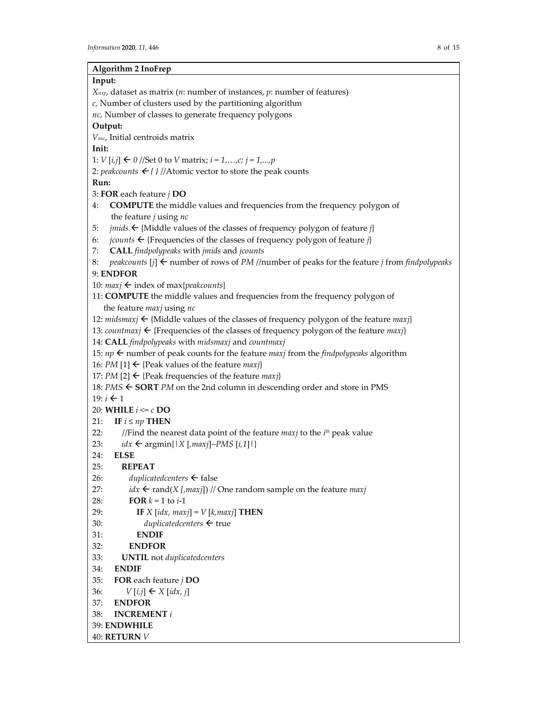| Algorithm 2 InoFrep                                                                                                  |
|----------------------------------------------------------------------------------------------------------------------|
| Input:                                                                                                               |
| $X_{nxp}$ , dataset as matrix ( <i>n</i> : number of instances, <i>p</i> : number of features)                       |
| $c$ , Number of clusters used by the partitioning algorithm                                                          |
| nc, Number of classes to generate frequency polygons                                                                 |
| Output:                                                                                                              |
| Vnxc, Initial centroids matrix                                                                                       |
| Init:                                                                                                                |
| 1: $V[i,j] \leftarrow 0 / \text{Set } 0$ to V matrix; $i = 1,,c$ ; $j = 1,,p$                                        |
| 2: peakcounts $\leftarrow$ { } //Atomic vector to store the peak counts                                              |
| Run:                                                                                                                 |
| 3: FOR each feature $j$ DO                                                                                           |
| <b>COMPUTE</b> the middle values and frequencies from the frequency polygon of<br>4:                                 |
| the feature $j$ using $nc$                                                                                           |
| $j$ <i>mids</i> $\leftarrow$ {Middle values of the classes of frequency polygon of feature $j$ }<br>5:               |
| jcounts $\leftarrow$ {Frequencies of the classes of frequency polygon of feature j}<br>6:                            |
| CALL findpolypeaks with jmids and jcounts<br>7:                                                                      |
| peakcounts [j] $\leftarrow$ number of rows of PM //number of peaks for the feature j from findpolypeaks<br>8:        |
| 9: ENDFOR                                                                                                            |
| 10: $maxj \leftarrow index$ of max{ <i>peakcounts</i> }                                                              |
| 11: COMPUTE the middle values and frequencies from the frequency polygon of                                          |
| the feature <i>maxj</i> using nc                                                                                     |
| 12: $mids$ / {Middle values of the classes of frequency polygon of the feature $maxj$ }                              |
| 13: countmaxj $\leftarrow$ {Frequencies of the classes of frequency polygon of the feature maxj}                     |
| 14: CALL findpolypeaks with midsmaxj and countmaxj                                                                   |
| 15: <i>np</i> $\leftarrow$ number of peak counts for the feature <i>maxj</i> from the <i>findpolypeaks</i> algorithm |
| 16: PM [1] $\leftarrow$ {Peak values of the feature <i>maxj</i> }                                                    |
| 17: PM [2] $\leftarrow$ {Peak frequencies of the feature <i>maxj</i> }                                               |
| 18: PMS $\leftarrow$ SORT PM on the 2nd column in descending order and store in PMS                                  |
| 19: $i \leftarrow 1$                                                                                                 |
| 20: WHILE $i \leq c$ DO                                                                                              |
| 21:<br>IF $i \le np$ THEN                                                                                            |
| 22:<br>//Find the nearest data point of the feature $maxj$ to the $ith$ peak value                                   |
| 23:<br>$idx \leftarrow argmin\{ X[max]-PMS[i,1] \}$                                                                  |
| <b>ELSE</b><br>24:                                                                                                   |
| 25:<br><b>REPEAT</b>                                                                                                 |
| $duplicated centers \leftarrow false$<br>26:                                                                         |
| 27:<br>$idx \leftarrow \text{rand}(X[, max])$ // One random sample on the feature <i>maxj</i>                        |
| 28:<br>FOR $k = 1$ to $i-1$                                                                                          |
| 29:<br>IF $X$ [idx, maxj] = $V$ [k, maxj] THEN                                                                       |
| 30:<br>duplicated centers $\leftarrow$ true                                                                          |
| 31:<br><b>ENDIF</b>                                                                                                  |
| 32:<br><b>ENDFOR</b>                                                                                                 |
| 33:<br><b>UNTIL</b> not <i>duplicatedcenters</i>                                                                     |
| 34:<br><b>ENDIF</b>                                                                                                  |
| 35:<br>FOR each feature $j$ DO                                                                                       |
| 36:<br>$V[i,j] \leftarrow X[idx, j]$                                                                                 |
| 37:<br><b>ENDFOR</b>                                                                                                 |
| 38:<br><b>INCREMENT</b> i                                                                                            |
| 39: ENDWHILE                                                                                                         |
|                                                                                                                      |
| 40: RETURN V                                                                                                         |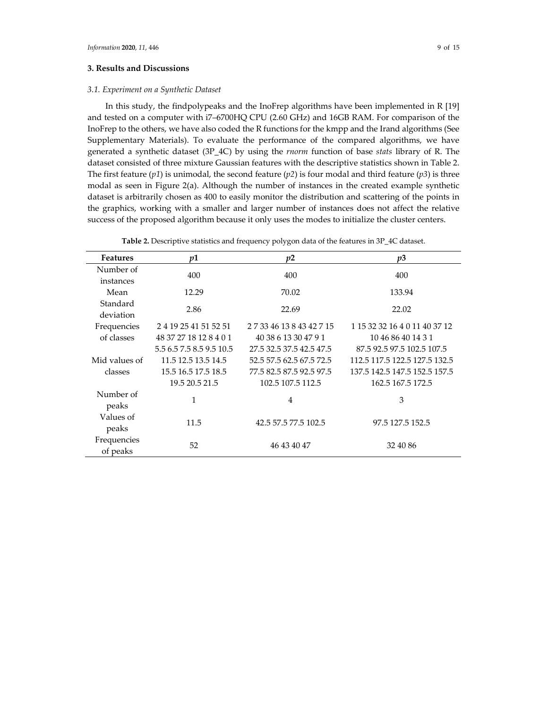# **3. Results and Discussions**

# *3.1. Experiment on a Synthetic Dataset*

In this study, the findpolypeaks and the InoFrep algorithms have been implemented in R [19] and tested on a computer with i7–6700HQ CPU (2.60 GHz) and 16GB RAM. For comparison of the InoFrep to the others, we have also coded the R functions for the kmpp and the Irand algorithms (See Supplementary Materials). To evaluate the performance of the compared algorithms, we have generated a synthetic dataset (3P\_4C) by using the *rnorm* function of base *stats* library of R. The dataset consisted of three mixture Gaussian features with the descriptive statistics shown in Table 2. The first feature  $(p1)$  is unimodal, the second feature  $(p2)$  is four modal and third feature  $(p3)$  is three modal as seen in Figure 2(a). Although the number of instances in the created example synthetic dataset is arbitrarily chosen as 400 to easily monitor the distribution and scattering of the points in the graphics, working with a smaller and larger number of instances does not affect the relative success of the proposed algorithm because it only uses the modes to initialize the cluster centers.

| <b>Features</b>         | p1                       | p2                        | p3                            |
|-------------------------|--------------------------|---------------------------|-------------------------------|
| Number of<br>instances  | 400                      | 400                       | 400                           |
| Mean                    | 12.29                    | 70.02                     | 133.94                        |
| Standard<br>deviation   | 2.86                     | 22.69                     | 22.02                         |
| Frequencies             | 2 4 19 25 41 51 52 51    | 2 7 33 46 13 8 43 42 7 15 | 1 15 32 32 16 4 0 11 40 37 12 |
| of classes              | 48 37 27 18 12 8 4 0 1   | 40 38 6 13 30 47 9 1      | 10 46 86 40 14 3 1            |
|                         | 5.5 6.5 7.5 8.5 9.5 10.5 | 27.5 32.5 37.5 42.5 47.5  | 87.5 92.5 97.5 102.5 107.5    |
| Mid values of           | 11.5 12.5 13.5 14.5      | 52.5 57.5 62.5 67.5 72.5  | 112.5 117.5 122.5 127.5 132.5 |
| classes                 | 15.5 16.5 17.5 18.5      | 77.5 82.5 87.5 92.5 97.5  | 137.5 142.5 147.5 152.5 157.5 |
|                         | 19.5 20.5 21.5           | 102.5 107.5 112.5         | 162.5 167.5 172.5             |
| Number of<br>peaks      | 1                        | 4                         | 3                             |
| Values of<br>peaks      | 11.5                     | 42.5 57.5 77.5 102.5      | 97.5 127.5 152.5              |
| Frequencies<br>of peaks | 52                       | 46 43 40 47               | 32 40 86                      |

**Table 2.** Descriptive statistics and frequency polygon data of the features in 3P\_4C dataset.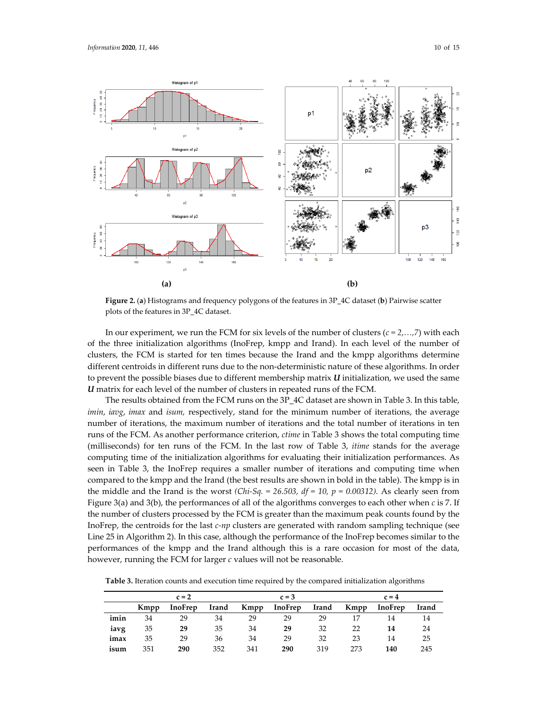

**Figure 2.** (**a**) Histograms and frequency polygons of the features in 3P\_4C dataset (**b**) Pairwise scatter plots of the features in 3P\_4C dataset.

In our experiment, we run the FCM for six levels of the number of clusters  $(c = 2, \ldots, 7)$  with each of the three initialization algorithms (InoFrep, kmpp and Irand). In each level of the number of clusters, the FCM is started for ten times because the Irand and the kmpp algorithms determine different centroids in different runs due to the non-deterministic nature of these algorithms. In order to prevent the possible biases due to different membership matrix *U* initialization, we used the same *U* matrix for each level of the number of clusters in repeated runs of the FCM.

The results obtained from the FCM runs on the 3P\_4C dataset are shown in Table 3. In this table, *imin*, *iavg*, *imax* and *isum,* respectively, stand for the minimum number of iterations, the average number of iterations, the maximum number of iterations and the total number of iterations in ten runs of the FCM. As another performance criterion, *ctime* in Table 3 shows the total computing time (milliseconds) for ten runs of the FCM. In the last row of Table 3, *itime* stands for the average computing time of the initialization algorithms for evaluating their initialization performances. As seen in Table 3, the InoFrep requires a smaller number of iterations and computing time when compared to the kmpp and the Irand (the best results are shown in bold in the table). The kmpp is in the middle and the Irand is the worst *(Chi-Sq. = 26.503, df = 10, p = 0.00312)*. As clearly seen from Figure 3(a) and 3(b), the performances of all of the algorithms converges to each other when *c* is 7. If the number of clusters processed by the FCM is greater than the maximum peak counts found by the InoFrep, the centroids for the last *c-np* clusters are generated with random sampling technique (see Line 25 in Algorithm 2). In this case, although the performance of the InoFrep becomes similar to the performances of the kmpp and the Irand although this is a rare occasion for most of the data, however, running the FCM for larger *c* values will not be reasonable.

**Table 3.** Iteration counts and execution time required by the compared initialization algorithms

|      |             | $c = 2$ |       |     | $c = 3$      |       |      | $c = 4$ |       |
|------|-------------|---------|-------|-----|--------------|-------|------|---------|-------|
|      | <b>Kmpp</b> | InoFrep | Irand |     | Kmpp InoFrep | Irand | Kmpp | InoFrep | Irand |
| imin | 34          | 29      | 34    | 29  | 29           | 29    |      | 14      | 14    |
| iavg | 35          | 29      | 35    | 34  | 29           | 32    | 22   | 14      | 24    |
| imax | 35          | 29      | 36    | 34  | 29           | 32    | 23   | 14      | 25    |
| isum | 351         | 290     | 352   | 341 | 290          | 319   | 273  | 140     | 245   |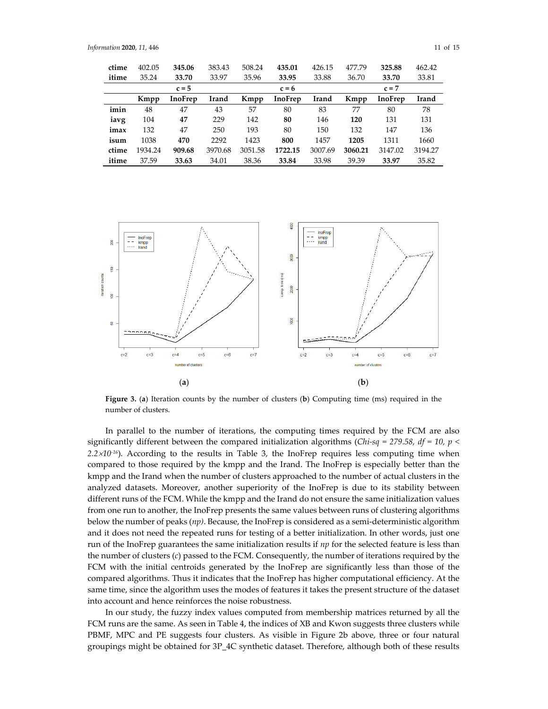| ctime<br>itime | 402.05<br>35.24 | 345.06<br>33.70 | 383.43<br>33.97 | 508.24<br>35.96 | 435.01<br>33.95 | 426.15<br>33.88 | 477.79<br>36.70 | 325.88<br>33.70 | 462.42<br>33.81 |
|----------------|-----------------|-----------------|-----------------|-----------------|-----------------|-----------------|-----------------|-----------------|-----------------|
|                |                 | $c = 5$         |                 |                 | $c = 6$         |                 |                 | $c = 7$         |                 |
|                |                 |                 |                 |                 |                 |                 |                 |                 |                 |
|                | Kmpp            | InoFrep         | Irand           |                 | Kmpp InoFrep    | Irand           | Kmpp            | InoFrep         | Irand           |



**iavg** 104 **47** 229 142 **80** 146 **120** 131 131 **imax** 132 47 250 193 80 150 132 147 136 **isum** 1038 **470** 2292 1423 **800** 1457 **1205** 1311 1660 **ctime** 1934.24 **909.68** 3970.68 3051.58 **1722.15** 3007.69 **3060.21** 3147.02 3194.27 **itime** 37.59 **33.63** 34.01 38.36 **33.84** 33.98 39.39 **33.97** 35.82

**Figure 3.** (**a**) Iteration counts by the number of clusters (**b**) Computing time (ms) required in the number of clusters.

In parallel to the number of iterations, the computing times required by the FCM are also significantly different between the compared initialization algorithms (*Chi-sq = 279.58, df = 10, p <*   $2.2 \times 10^{-16}$ ). According to the results in Table 3, the InoFrep requires less computing time when compared to those required by the kmpp and the Irand. The InoFrep is especially better than the kmpp and the Irand when the number of clusters approached to the number of actual clusters in the analyzed datasets. Moreover, another superiority of the InoFrep is due to its stability between different runs of the FCM. While the kmpp and the Irand do not ensure the same initialization values from one run to another, the InoFrep presents the same values between runs of clustering algorithms below the number of peaks (*np)*. Because, the InoFrep is considered as a semi-deterministic algorithm and it does not need the repeated runs for testing of a better initialization. In other words, just one run of the InoFrep guarantees the same initialization results if *np* for the selected feature is less than the number of clusters (*c*) passed to the FCM. Consequently, the number of iterations required by the FCM with the initial centroids generated by the InoFrep are significantly less than those of the compared algorithms. Thus it indicates that the InoFrep has higher computational efficiency. At the same time, since the algorithm uses the modes of features it takes the present structure of the dataset into account and hence reinforces the noise robustness.

In our study, the fuzzy index values computed from membership matrices returned by all the FCM runs are the same. As seen in Table 4, the indices of XB and Kwon suggests three clusters while PBMF, MPC and PE suggests four clusters. As visible in Figure 2b above, three or four natural groupings might be obtained for 3P\_4C synthetic dataset. Therefore, although both of these results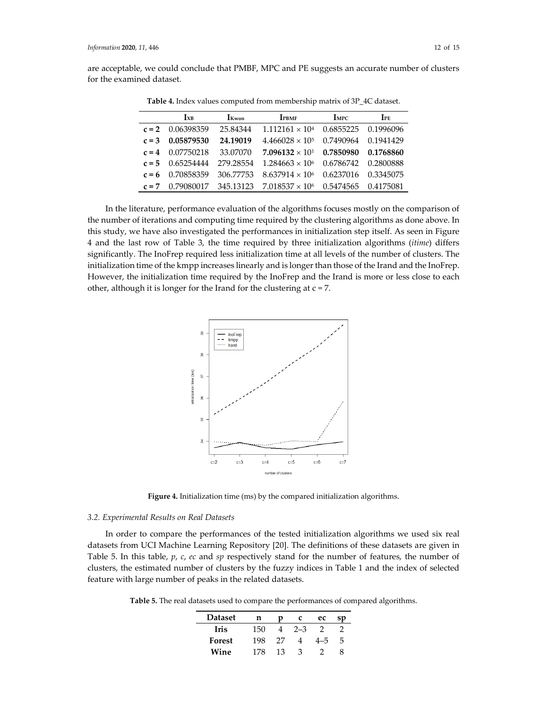are acceptable, we could conclude that PMBF, MPC and PE suggests an accurate number of clusters for the examined dataset.

|         | $I_{XB}$                 | <b>I</b> Kwon | <b>IPBMF</b>             | <b>IMPC</b> | <b>IPE</b> |
|---------|--------------------------|---------------|--------------------------|-------------|------------|
|         | $c = 2$ 0.06398359       | 25.84344      | $1.112161 \times 10^{4}$ | 0.6855225   | 0.1996096  |
| $c = 3$ | 0.05879530               | 24.19019      | $4.466028 \times 10^{5}$ | 0.7490964   | 0.1941429  |
|         | $c = 4$ 0.07750218       | 33.07070      | $7.096132 \times 10^{1}$ | 0.7850980   | 0.1768860  |
|         | $c = 5 \quad 0.65254444$ | 279.28554     | $1.284663 \times 10^{6}$ | 0.6786742   | 0.2800888  |
|         | $c = 6$ 0.70858359       | 306.77753     | $8.637914 \times 10^{6}$ | 0.6237016   | 0.3345075  |
| $c = 7$ | 0.79080017               | 345.13123     | $7.018537 \times 10^6$   | 0.5474565   | 0.4175081  |

**Table 4.** Index values computed from membership matrix of 3P\_4C dataset.

In the literature, performance evaluation of the algorithms focuses mostly on the comparison of the number of iterations and computing time required by the clustering algorithms as done above. In this study, we have also investigated the performances in initialization step itself. As seen in Figure 4 and the last row of Table 3, the time required by three initialization algorithms (*itime*) differs significantly. The InoFrep required less initialization time at all levels of the number of clusters. The initialization time of the kmpp increases linearly and is longer than those of the Irand and the InoFrep. However, the initialization time required by the InoFrep and the Irand is more or less close to each other, although it is longer for the Irand for the clustering at  $c = 7$ .



**Figure 4.** Initialization time (ms) by the compared initialization algorithms.

#### *3.2. Experimental Results on Real Datasets*

In order to compare the performances of the tested initialization algorithms we used six real datasets from UCI Machine Learning Repository [20]. The definitions of these datasets are given in Table 5. In this table, *p*, *c*, *ec* and *sp* respectively stand for the number of features, the number of clusters, the estimated number of clusters by the fuzzy indices in Table 1 and the index of selected feature with large number of peaks in the related datasets.

**Table 5.** The real datasets used to compare the performances of compared algorithms.

| <b>Dataset</b> | n   |    |         | ec  |   |
|----------------|-----|----|---------|-----|---|
| Iris           | 150 |    | $2 - 3$ |     |   |
| Forest         | 198 | 27 |         | 4–5 | 5 |
| Wine           | 178 | 13 | З       |     |   |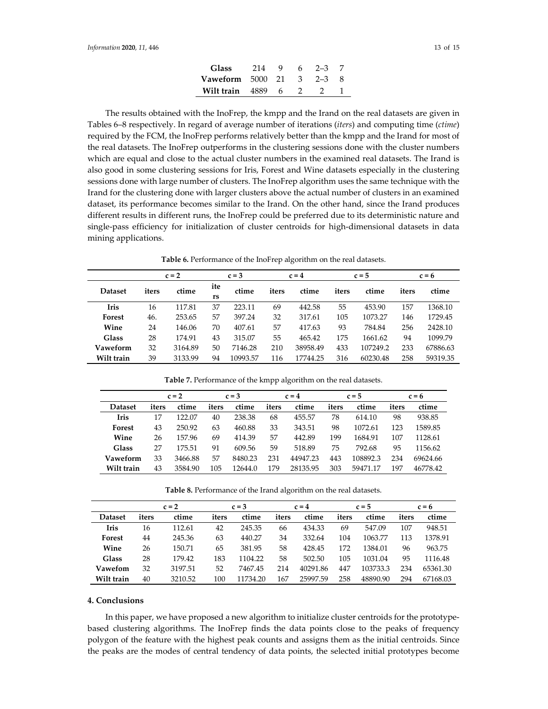| <b>Glass</b>                    | 214 | $\overline{9}$ | 6 2-3 7        |  |
|---------------------------------|-----|----------------|----------------|--|
| <b>Vaweform</b> 5000 21 3 2–3 8 |     |                |                |  |
| Wilt train 4889 6 2             |     |                | $\overline{2}$ |  |

The results obtained with the InoFrep, the kmpp and the Irand on the real datasets are given in Tables 6–8 respectively. In regard of average number of iterations (*iters*) and computing time (*ctime*) required by the FCM, the InoFrep performs relatively better than the kmpp and the Irand for most of the real datasets. The InoFrep outperforms in the clustering sessions done with the cluster numbers which are equal and close to the actual cluster numbers in the examined real datasets. The Irand is also good in some clustering sessions for Iris, Forest and Wine datasets especially in the clustering sessions done with large number of clusters. The InoFrep algorithm uses the same technique with the Irand for the clustering done with larger clusters above the actual number of clusters in an examined dataset, its performance becomes similar to the Irand. On the other hand, since the Irand produces different results in different runs, the InoFrep could be preferred due to its deterministic nature and single-pass efficiency for initialization of cluster centroids for high-dimensional datasets in data mining applications.

**Table 6.** Performance of the InoFrep algorithm on the real datasets.

|                |       | $c = 2$ |           | $c = 3$  |       | $c = 4$  |       | $c = 5$  |       | $c = 6$  |
|----------------|-------|---------|-----------|----------|-------|----------|-------|----------|-------|----------|
| <b>Dataset</b> | iters | ctime   | ite<br>rs | ctime    | iters | ctime    | iters | ctime    | iters | ctime    |
| Iris           | 16    | 117.81  | 37        | 223.11   | 69    | 442.58   | 55    | 453.90   | 157   | 1368.10  |
| Forest         | 46.   | 253.65  | 57        | 397.24   | 32    | 317.61   | 105   | 1073.27  | 146   | 1729.45  |
| Wine           | 24    | 146.06  | 70        | 407.61   | 57    | 417.63   | 93    | 784.84   | 256   | 2428.10  |
| <b>Glass</b>   | 28    | 174.91  | 43        | 315.07   | 55    | 465.42   | 175   | 1661.62  | 94    | 1099.79  |
| Vaweform       | 32    | 3164.89 | 50        | 7146.28  | 210   | 38958.49 | 433   | 107249.2 | 233   | 67886.63 |
| Wilt train     | 39    | 3133.99 | 94        | 10993.57 | 116   | 17744.25 | 316   | 60230.48 | 258   | 59319.35 |

| <b>Table 7.</b> Performance of the kmpp algorithm on the real datasets. |  |
|-------------------------------------------------------------------------|--|
|                                                                         |  |

|                | $c = 2$ |         | $c = 3$ |         | $c = 4$ |          | $c = 5$ |          | $c = 6$ |          |
|----------------|---------|---------|---------|---------|---------|----------|---------|----------|---------|----------|
| <b>Dataset</b> | iters   | ctime   | iters   | ctime   | iters   | ctime    | iters   | ctime    | iters   | ctime    |
| Iris           | 17      | 122.07  | 40      | 238.38  | 68      | 455.57   | 78      | 614.10   | 98      | 938.85   |
| Forest         | 43      | 250.92  | 63      | 460.88  | 33      | 343.51   | 98      | 1072.61  | 123     | 1589.85  |
| Wine           | 26      | 157.96  | 69      | 414.39  | 57      | 442.89   | 199     | 1684.91  | 107     | 1128.61  |
| Glass          | 27      | 175.51  | 91      | 609.56  | 59      | 518.89   | 75      | 792.68   | 95      | 1156.62  |
| Vaweform       | 33      | 3466.88 | 57      | 8480.23 | 231     | 44947.23 | 443     | 108892.3 | 234     | 69624.66 |
| Wilt train     | 43      | 3584.90 | 105     | 12644.0 | 179     | 28135.95 | 303     | 59471.17 | 197     | 46778.42 |

**Table 8.** Performance of the Irand algorithm on the real datasets.

|                | $c = 2$ |         | $c = 3$ |          | $c = 4$ |          | $c = 5$ |          | $c = 6$ |          |
|----------------|---------|---------|---------|----------|---------|----------|---------|----------|---------|----------|
| <b>Dataset</b> | iters   | ctime   | iters   | ctime    | iters   | ctime    | iters   | ctime    | iters   | ctime    |
| Iris           | 16      | 112.61  | 42      | 245.35   | 66      | 434.33   | 69      | 547.09   | 107     | 948.51   |
| Forest         | 44      | 245.36  | 63      | 440.27   | 34      | 332.64   | 104     | 1063.77  | 113     | 1378.91  |
| Wine           | 26      | 150.71  | 65      | 381.95   | 58      | 428.45   | 172     | 1384.01  | 96      | 963.75   |
| <b>Glass</b>   | 28      | 179.42  | 183     | 1104.22  | 58      | 502.50   | 105     | 1031.04  | 95      | 1116.48  |
| Vawefom        | 32      | 3197.51 | 52      | 7467.45  | 214     | 40291.86 | 447     | 103733.3 | 234     | 65361.30 |
| Wilt train     | 40      | 3210.52 | 100     | 11734.20 | 167     | 25997.59 | 258     | 48890.90 | 294     | 67168.03 |

# **4. Conclusions**

In this paper, we have proposed a new algorithm to initialize cluster centroids for the prototypebased clustering algorithms. The InoFrep finds the data points close to the peaks of frequency polygon of the feature with the highest peak counts and assigns them as the initial centroids. Since the peaks are the modes of central tendency of data points, the selected initial prototypes become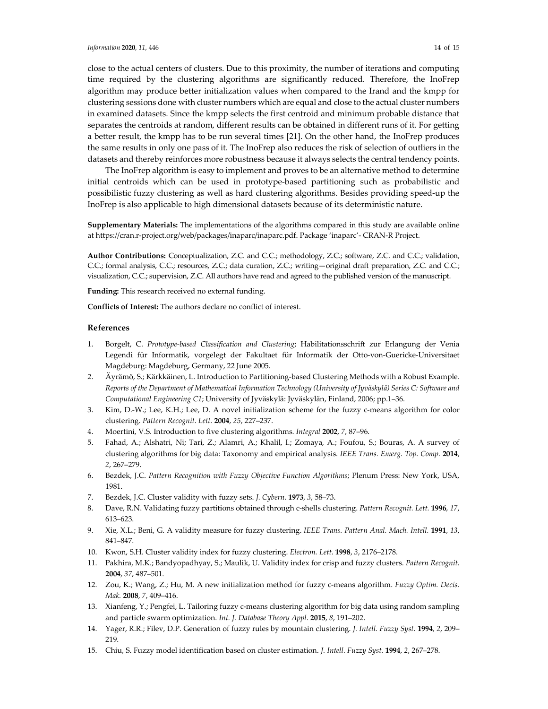close to the actual centers of clusters. Due to this proximity, the number of iterations and computing time required by the clustering algorithms are significantly reduced. Therefore, the InoFrep algorithm may produce better initialization values when compared to the Irand and the kmpp for clustering sessions done with cluster numbers which are equal and close to the actual cluster numbers in examined datasets. Since the kmpp selects the first centroid and minimum probable distance that separates the centroids at random, different results can be obtained in different runs of it. For getting a better result, the kmpp has to be run several times [21]. On the other hand, the InoFrep produces the same results in only one pass of it. The InoFrep also reduces the risk of selection of outliers in the datasets and thereby reinforces more robustness because it always selects the central tendency points.

The InoFrep algorithm is easy to implement and proves to be an alternative method to determine initial centroids which can be used in prototype-based partitioning such as probabilistic and possibilistic fuzzy clustering as well as hard clustering algorithms. Besides providing speed-up the InoFrep is also applicable to high dimensional datasets because of its deterministic nature.

**Supplementary Materials:** The implementations of the algorithms compared in this study are available online at https://cran.r-project.org/web/packages/inaparc/inaparc.pdf. Package 'inaparc'- CRAN-R Project.

**Author Contributions:** Conceptualization, Z.C. and C.C.; methodology, Z.C.; software, Z.C. and C.C.; validation, C.C.; formal analysis, C.C.; resources, Z.C.; data curation, Z.C.; writing—original draft preparation, Z.C. and C.C.; visualization, C.C.; supervision, Z.C. All authors have read and agreed to the published version of the manuscript.

**Funding:** This research received no external funding.

**Conflicts of Interest:** The authors declare no conflict of interest.

#### **References**

- 1. Borgelt, C. *Prototype-based Classification and Clustering*; Habilitationsschrift zur Erlangung der Venia Legendi für Informatik, vorgelegt der Fakultaet für Informatik der Otto-von-Guericke-Universitaet Magdeburg: Magdeburg, Germany, 22 June 2005.
- 2. Äyrämö, S.; Kärkkäinen, L. Introduction to Partitioning-based Clustering Methods with a Robust Example. *Reports of the Department of Mathematical Information Technology (University of Jyväskylä) Series C: Software and Computational Engineering C1*; University of Jyväskylä: Jyväskylän, Finland, 2006; pp.1–36.
- 3. Kim, D.-W.; Lee, K.H.; Lee, D. A novel initialization scheme for the fuzzy c-means algorithm for color clustering. *Pattern Recognit. Lett.* **2004**, *25*, 227–237.
- 4. Moertini, V.S. Introduction to five clustering algorithms. *Integral* **2002**, *7*, 87–96.
- 5. Fahad, A.; Alshatri, Ni; Tari, Z.; Alamri, A.; Khalil, I.; Zomaya, A.; Foufou, S.; Bouras, A. A survey of clustering algorithms for big data: Taxonomy and empirical analysis. *IEEE Trans. Emerg. Top. Comp.* **2014**, *2*, 267–279.
- 6. Bezdek, J.C. *Pattern Recognition with Fuzzy Objective Function Algorithms*; Plenum Press: New York, USA, 1981.
- 7. Bezdek, J.C. Cluster validity with fuzzy sets. *J. Cybern.* **1973**, *3*, 58–73.
- 8. Dave, R.N. Validating fuzzy partitions obtained through c-shells clustering. *Pattern Recognit. Lett.* **1996**, *17*, 613–623.
- 9. Xie, X.L.; Beni, G. A validity measure for fuzzy clustering. *IEEE Trans. Pattern Anal. Mach. Intell.* **1991**, *13*, 841–847.
- 10. Kwon, S.H. Cluster validity index for fuzzy clustering. *Electron. Lett.* **1998**, *3*, 2176–2178.
- 11. Pakhira, M.K.; Bandyopadhyay, S.; Maulik, U. Validity index for crisp and fuzzy clusters. *Pattern Recognit.*  **2004**, *37*, 487–501.
- 12. Zou, K.; Wang, Z.; Hu, M. A new initialization method for fuzzy c-means algorithm. *Fuzzy Optim. Decis. Mak.* **2008**, *7*, 409–416.
- 13. Xianfeng, Y.; Pengfei, L. Tailoring fuzzy c-means clustering algorithm for big data using random sampling and particle swarm optimization. *Int. J. Database Theory Appl.* **2015**, *8*, 191–202.
- 14. Yager, R.R.; Filev, D.P. Generation of fuzzy rules by mountain clustering. *J. Intell. Fuzzy Syst.* **1994**, *2*, 209– 219.
- 15. Chiu, S. Fuzzy model identification based on cluster estimation. *J. Intell. Fuzzy Syst.* **1994**, *2*, 267–278.